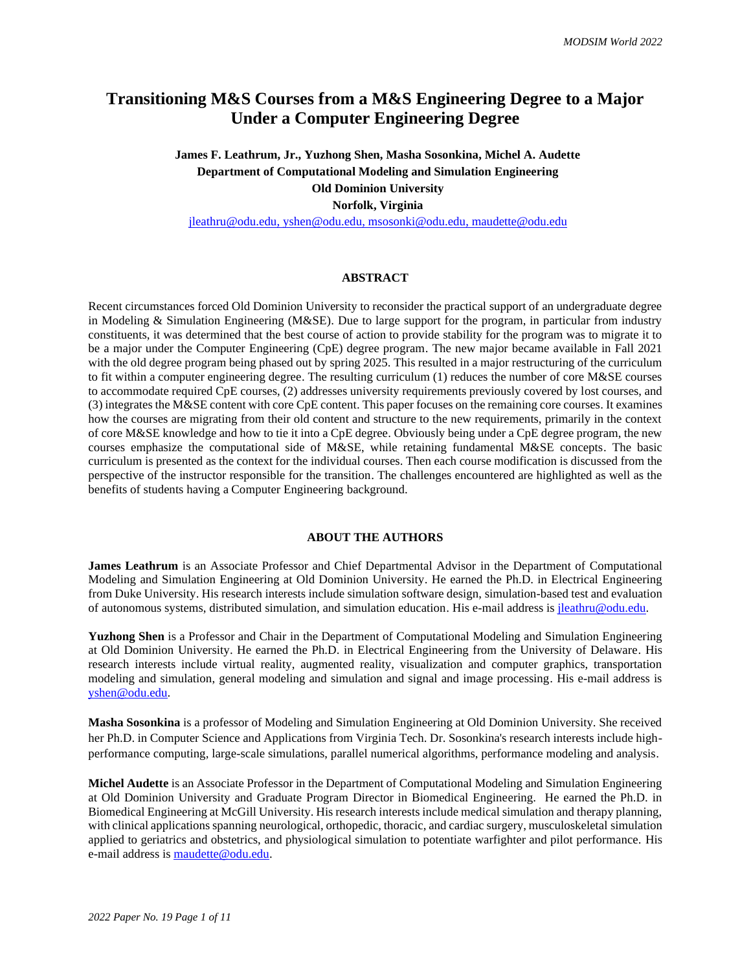# **Transitioning M&S Courses from a M&S Engineering Degree to a Major Under a Computer Engineering Degree**

**James F. Leathrum, Jr., Yuzhong Shen, Masha Sosonkina, Michel A. Audette Department of Computational Modeling and Simulation Engineering Old Dominion University Norfolk, Virginia**

[jleathru@odu.edu,](mailto:jleathru@odu.edu) [yshen@odu.edu,](mailto:yshen@odu.edu) [msosonki@odu.edu,](mailto:msosonki@odu.edu) maudette@odu.edu

## **ABSTRACT**

Recent circumstances forced Old Dominion University to reconsider the practical support of an undergraduate degree in Modeling & Simulation Engineering (M&SE). Due to large support for the program, in particular from industry constituents, it was determined that the best course of action to provide stability for the program was to migrate it to be a major under the Computer Engineering (CpE) degree program. The new major became available in Fall 2021 with the old degree program being phased out by spring 2025. This resulted in a major restructuring of the curriculum to fit within a computer engineering degree. The resulting curriculum (1) reduces the number of core M&SE courses to accommodate required CpE courses, (2) addresses university requirements previously covered by lost courses, and (3) integrates the M&SE content with core CpE content. This paper focuses on the remaining core courses. It examines how the courses are migrating from their old content and structure to the new requirements, primarily in the context of core M&SE knowledge and how to tie it into a CpE degree. Obviously being under a CpE degree program, the new courses emphasize the computational side of M&SE, while retaining fundamental M&SE concepts. The basic curriculum is presented as the context for the individual courses. Then each course modification is discussed from the perspective of the instructor responsible for the transition. The challenges encountered are highlighted as well as the benefits of students having a Computer Engineering background.

#### **ABOUT THE AUTHORS**

**James Leathrum** is an Associate Professor and Chief Departmental Advisor in the Department of Computational Modeling and Simulation Engineering at Old Dominion University. He earned the Ph.D. in Electrical Engineering from Duke University. His research interests include simulation software design, simulation-based test and evaluation of autonomous systems, distributed simulation, and simulation education. His e-mail address is [jleathru@odu.edu.](mailto:jleathru@odu.edu)

**Yuzhong Shen** is a Professor and Chair in the Department of Computational Modeling and Simulation Engineering at Old Dominion University. He earned the Ph.D. in Electrical Engineering from the University of Delaware. His research interests include virtual reality, augmented reality, visualization and computer graphics, transportation modeling and simulation, general modeling and simulation and signal and image processing. His e-mail address is [yshen@odu.edu.](mailto:yshen@odu.edu)

**Masha Sosonkina** is a professor of Modeling and Simulation Engineering at Old Dominion University. She received her Ph.D. in Computer Science and Applications from Virginia Tech. Dr. Sosonkina's research interests include highperformance computing, large-scale simulations, parallel numerical algorithms, performance modeling and analysis.

**Michel Audette** is an Associate Professor in the Department of Computational Modeling and Simulation Engineering at Old Dominion University and Graduate Program Director in Biomedical Engineering. He earned the Ph.D. in Biomedical Engineering at McGill University. His research interests include medical simulation and therapy planning, with clinical applications spanning neurological, orthopedic, thoracic, and cardiac surgery, musculoskeletal simulation applied to geriatrics and obstetrics, and physiological simulation to potentiate warfighter and pilot performance. His e-mail address is [maudette@odu.edu.](mailto:maudette@odu.edu)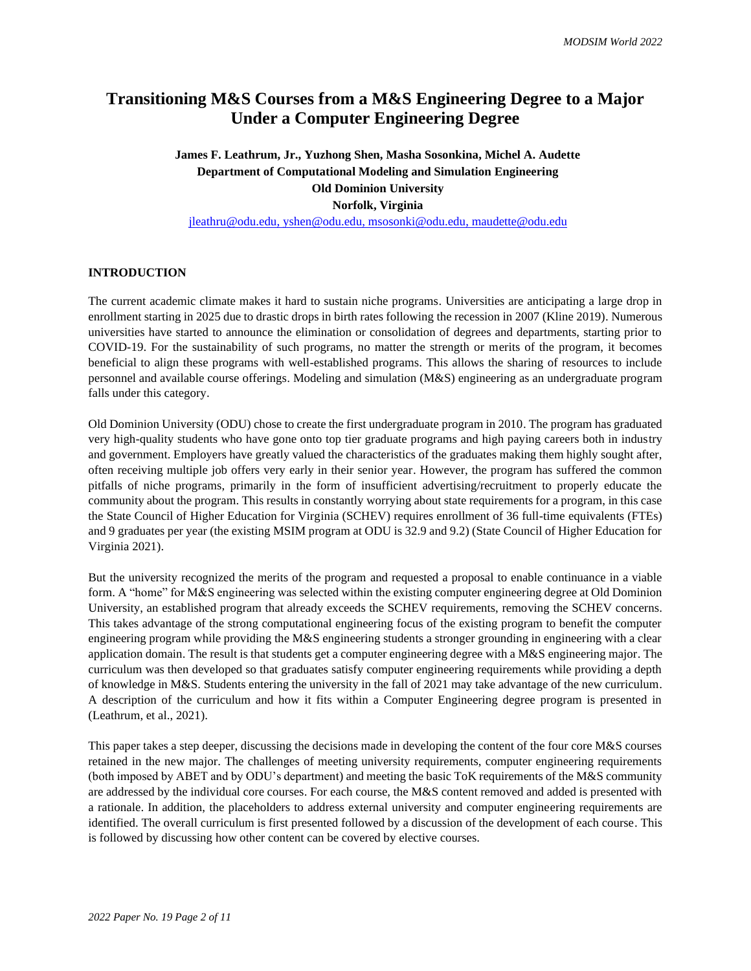# **Transitioning M&S Courses from a M&S Engineering Degree to a Major Under a Computer Engineering Degree**

**James F. Leathrum, Jr., Yuzhong Shen, Masha Sosonkina, Michel A. Audette Department of Computational Modeling and Simulation Engineering Old Dominion University Norfolk, Virginia** [jleathru@odu.edu,](mailto:jleathru@odu.edu) [yshen@odu.edu,](mailto:yshen@odu.edu) [msosonki@odu.edu,](mailto:msosonki@odu.edu) maudette@odu.edu

# **INTRODUCTION**

The current academic climate makes it hard to sustain niche programs. Universities are anticipating a large drop in enrollment starting in 2025 due to drastic drops in birth rates following the recession in 2007 (Kline 2019). Numerous universities have started to announce the elimination or consolidation of degrees and departments, starting prior to COVID-19. For the sustainability of such programs, no matter the strength or merits of the program, it becomes beneficial to align these programs with well-established programs. This allows the sharing of resources to include personnel and available course offerings. Modeling and simulation (M&S) engineering as an undergraduate program falls under this category.

Old Dominion University (ODU) chose to create the first undergraduate program in 2010. The program has graduated very high-quality students who have gone onto top tier graduate programs and high paying careers both in industry and government. Employers have greatly valued the characteristics of the graduates making them highly sought after, often receiving multiple job offers very early in their senior year. However, the program has suffered the common pitfalls of niche programs, primarily in the form of insufficient advertising/recruitment to properly educate the community about the program. This results in constantly worrying about state requirements for a program, in this case the State Council of Higher Education for Virginia (SCHEV) requires enrollment of 36 full-time equivalents (FTEs) and 9 graduates per year (the existing MSIM program at ODU is 32.9 and 9.2) (State Council of Higher Education for Virginia 2021).

But the university recognized the merits of the program and requested a proposal to enable continuance in a viable form. A "home" for M&S engineering was selected within the existing computer engineering degree at Old Dominion University, an established program that already exceeds the SCHEV requirements, removing the SCHEV concerns. This takes advantage of the strong computational engineering focus of the existing program to benefit the computer engineering program while providing the M&S engineering students a stronger grounding in engineering with a clear application domain. The result is that students get a computer engineering degree with a M&S engineering major. The curriculum was then developed so that graduates satisfy computer engineering requirements while providing a depth of knowledge in M&S. Students entering the university in the fall of 2021 may take advantage of the new curriculum. A description of the curriculum and how it fits within a Computer Engineering degree program is presented in (Leathrum, et al., 2021).

This paper takes a step deeper, discussing the decisions made in developing the content of the four core M&S courses retained in the new major. The challenges of meeting university requirements, computer engineering requirements (both imposed by ABET and by ODU's department) and meeting the basic ToK requirements of the M&S community are addressed by the individual core courses. For each course, the M&S content removed and added is presented with a rationale. In addition, the placeholders to address external university and computer engineering requirements are identified. The overall curriculum is first presented followed by a discussion of the development of each course. This is followed by discussing how other content can be covered by elective courses.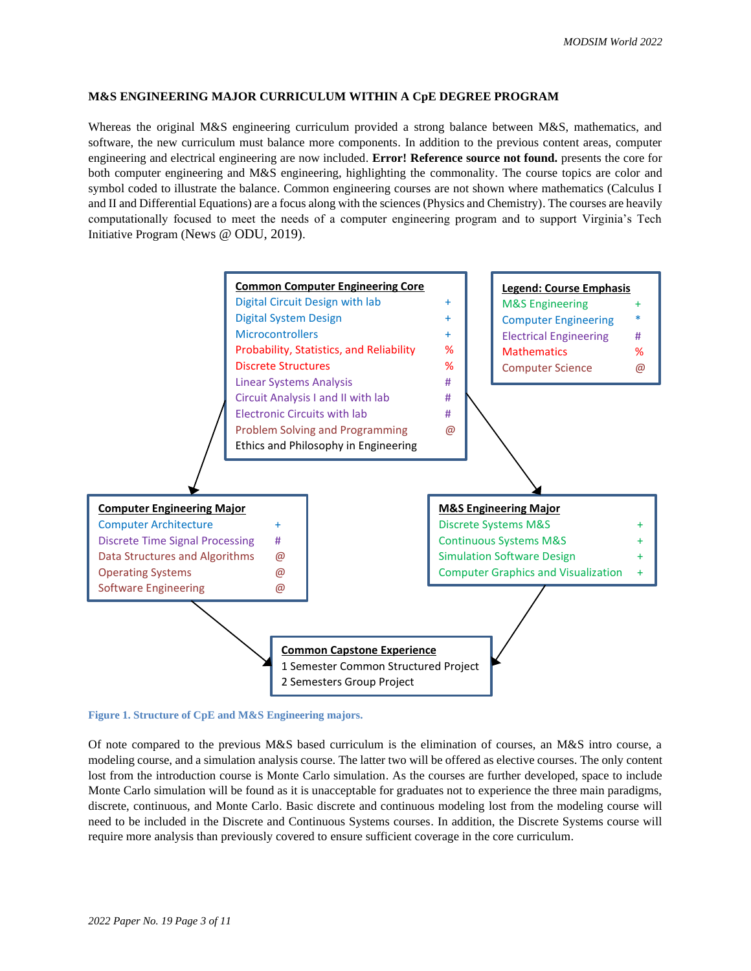## **M&S ENGINEERING MAJOR CURRICULUM WITHIN A CpE DEGREE PROGRAM**

Whereas the original M&S engineering curriculum provided a strong balance between M&S, mathematics, and software, the new curriculum must balance more components. In addition to the previous content areas, computer engineering and electrical engineering are now included. **Error! Reference source not found.** presents the core for both computer engineering and M&S engineering, highlighting the commonality. The course topics are color and symbol coded to illustrate the balance. Common engineering courses are not shown where mathematics (Calculus I and II and Differential Equations) are a focus along with the sciences (Physics and Chemistry). The courses are heavily computationally focused to meet the needs of a computer engineering program and to support Virginia's Tech Initiative Program (News @ ODU, 2019).



### **Figure 1. Structure of CpE and M&S Engineering majors.**

Of note compared to the previous M&S based curriculum is the elimination of courses, an M&S intro course, a modeling course, and a simulation analysis course. The latter two will be offered as elective courses. The only content lost from the introduction course is Monte Carlo simulation. As the courses are further developed, space to include Monte Carlo simulation will be found as it is unacceptable for graduates not to experience the three main paradigms, discrete, continuous, and Monte Carlo. Basic discrete and continuous modeling lost from the modeling course will need to be included in the Discrete and Continuous Systems courses. In addition, the Discrete Systems course will require more analysis than previously covered to ensure sufficient coverage in the core curriculum.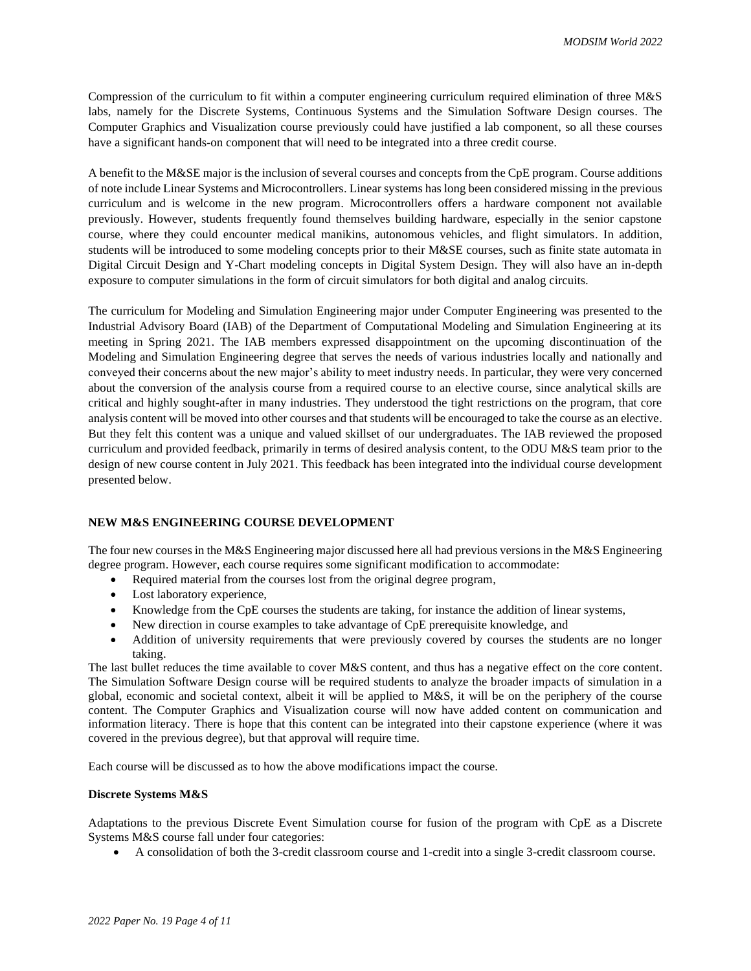Compression of the curriculum to fit within a computer engineering curriculum required elimination of three M&S labs, namely for the Discrete Systems, Continuous Systems and the Simulation Software Design courses. The Computer Graphics and Visualization course previously could have justified a lab component, so all these courses have a significant hands-on component that will need to be integrated into a three credit course.

A benefit to the M&SE major is the inclusion of several courses and concepts from the CpE program. Course additions of note include Linear Systems and Microcontrollers. Linear systems has long been considered missing in the previous curriculum and is welcome in the new program. Microcontrollers offers a hardware component not available previously. However, students frequently found themselves building hardware, especially in the senior capstone course, where they could encounter medical manikins, autonomous vehicles, and flight simulators. In addition, students will be introduced to some modeling concepts prior to their M&SE courses, such as finite state automata in Digital Circuit Design and Y-Chart modeling concepts in Digital System Design. They will also have an in-depth exposure to computer simulations in the form of circuit simulators for both digital and analog circuits.

The curriculum for Modeling and Simulation Engineering major under Computer Engineering was presented to the Industrial Advisory Board (IAB) of the Department of Computational Modeling and Simulation Engineering at its meeting in Spring 2021. The IAB members expressed disappointment on the upcoming discontinuation of the Modeling and Simulation Engineering degree that serves the needs of various industries locally and nationally and conveyed their concerns about the new major's ability to meet industry needs. In particular, they were very concerned about the conversion of the analysis course from a required course to an elective course, since analytical skills are critical and highly sought-after in many industries. They understood the tight restrictions on the program, that core analysis content will be moved into other courses and that students will be encouraged to take the course as an elective. But they felt this content was a unique and valued skillset of our undergraduates. The IAB reviewed the proposed curriculum and provided feedback, primarily in terms of desired analysis content, to the ODU M&S team prior to the design of new course content in July 2021. This feedback has been integrated into the individual course development presented below.

# **NEW M&S ENGINEERING COURSE DEVELOPMENT**

The four new courses in the M&S Engineering major discussed here all had previous versions in the M&S Engineering degree program. However, each course requires some significant modification to accommodate:

- Required material from the courses lost from the original degree program,
- Lost laboratory experience,
- Knowledge from the CpE courses the students are taking, for instance the addition of linear systems,
- New direction in course examples to take advantage of CpE prerequisite knowledge, and
- Addition of university requirements that were previously covered by courses the students are no longer taking.

The last bullet reduces the time available to cover M&S content, and thus has a negative effect on the core content. The Simulation Software Design course will be required students to analyze the broader impacts of simulation in a global, economic and societal context, albeit it will be applied to M&S, it will be on the periphery of the course content. The Computer Graphics and Visualization course will now have added content on communication and information literacy. There is hope that this content can be integrated into their capstone experience (where it was covered in the previous degree), but that approval will require time.

Each course will be discussed as to how the above modifications impact the course.

#### **Discrete Systems M&S**

Adaptations to the previous Discrete Event Simulation course for fusion of the program with CpE as a Discrete Systems M&S course fall under four categories:

• A consolidation of both the 3-credit classroom course and 1-credit into a single 3-credit classroom course.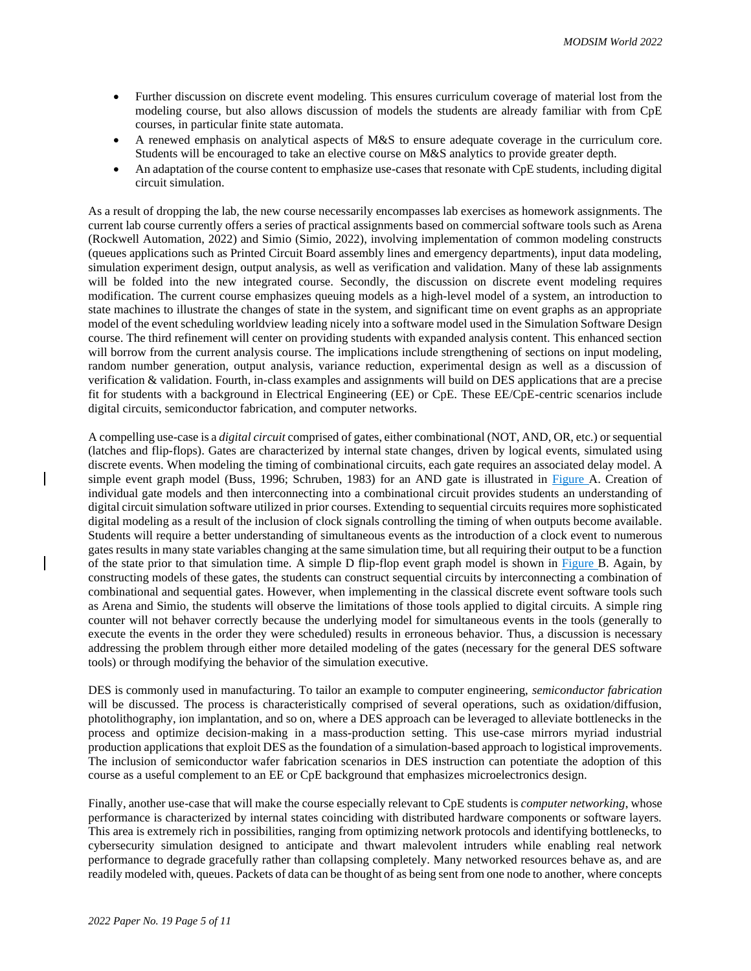- Further discussion on discrete event modeling. This ensures curriculum coverage of material lost from the modeling course, but also allows discussion of models the students are already familiar with from CpE courses, in particular finite state automata.
- A renewed emphasis on analytical aspects of M&S to ensure adequate coverage in the curriculum core. Students will be encouraged to take an elective course on M&S analytics to provide greater depth.
- An adaptation of the course content to emphasize use-cases that resonate with CpE students, including digital circuit simulation.

As a result of dropping the lab, the new course necessarily encompasses lab exercises as homework assignments. The current lab course currently offers a series of practical assignments based on commercial software tools such as Arena (Rockwell Automation, 2022) and Simio (Simio, 2022), involving implementation of common modeling constructs (queues applications such as Printed Circuit Board assembly lines and emergency departments), input data modeling, simulation experiment design, output analysis, as well as verification and validation. Many of these lab assignments will be folded into the new integrated course. Secondly, the discussion on discrete event modeling requires modification. The current course emphasizes queuing models as a high-level model of a system, an introduction to state machines to illustrate the changes of state in the system, and significant time on event graphs as an appropriate model of the event scheduling worldview leading nicely into a software model used in the Simulation Software Design course. The third refinement will center on providing students with expanded analysis content. This enhanced section will borrow from the current analysis course. The implications include strengthening of sections on input modeling, random number generation, output analysis, variance reduction, experimental design as well as a discussion of verification & validation. Fourth, in-class examples and assignments will build on DES applications that are a precise fit for students with a background in Electrical Engineering (EE) or CpE. These EE/CpE-centric scenarios include digital circuits, semiconductor fabrication, and computer networks.

A compelling use-case is a *digital circuit* comprised of gates, either combinational (NOT, AND, OR, etc.) or sequential (latches and flip-flops). Gates are characterized by internal state changes, driven by logical events, simulated using discrete events. When modeling the timing of combinational circuits, each gate requires an associated delay model. A simple event graph model (Buss, 1996; Schruben, 1983) for an AND gate is illustrated in [Figure A](#page-5-0). Creation of individual gate models and then interconnecting into a combinational circuit provides students an understanding of digital circuit simulation software utilized in prior courses. Extending to sequential circuits requires more sophisticated digital modeling as a result of the inclusion of clock signals controlling the timing of when outputs become available. Students will require a better understanding of simultaneous events as the introduction of a clock event to numerous gates results in many state variables changing at the same simulation time, but all requiring their output to be a function of the state prior to that simulation time. A simple D flip-flop event graph model is shown in [Figure B](#page-5-0). Again, by constructing models of these gates, the students can construct sequential circuits by interconnecting a combination of combinational and sequential gates. However, when implementing in the classical discrete event software tools such as Arena and Simio, the students will observe the limitations of those tools applied to digital circuits. A simple ring counter will not behaver correctly because the underlying model for simultaneous events in the tools (generally to execute the events in the order they were scheduled) results in erroneous behavior. Thus, a discussion is necessary addressing the problem through either more detailed modeling of the gates (necessary for the general DES software tools) or through modifying the behavior of the simulation executive.

DES is commonly used in manufacturing. To tailor an example to computer engineering, *semiconductor fabrication* will be discussed. The process is characteristically comprised of several operations, such as oxidation/diffusion, photolithography, ion implantation, and so on, where a DES approach can be leveraged to alleviate bottlenecks in the process and optimize decision-making in a mass-production setting. This use-case mirrors myriad industrial production applications that exploit DES as the foundation of a simulation-based approach to logistical improvements. The inclusion of semiconductor wafer fabrication scenarios in DES instruction can potentiate the adoption of this course as a useful complement to an EE or CpE background that emphasizes microelectronics design.

Finally, another use-case that will make the course especially relevant to CpE students is *computer networking*, whose performance is characterized by internal states coinciding with distributed hardware components or software layers. This area is extremely rich in possibilities, ranging from optimizing network protocols and identifying bottlenecks, to cybersecurity simulation designed to anticipate and thwart malevolent intruders while enabling real network performance to degrade gracefully rather than collapsing completely. Many networked resources behave as, and are readily modeled with, queues. Packets of data can be thought of as being sent from one node to another, where concepts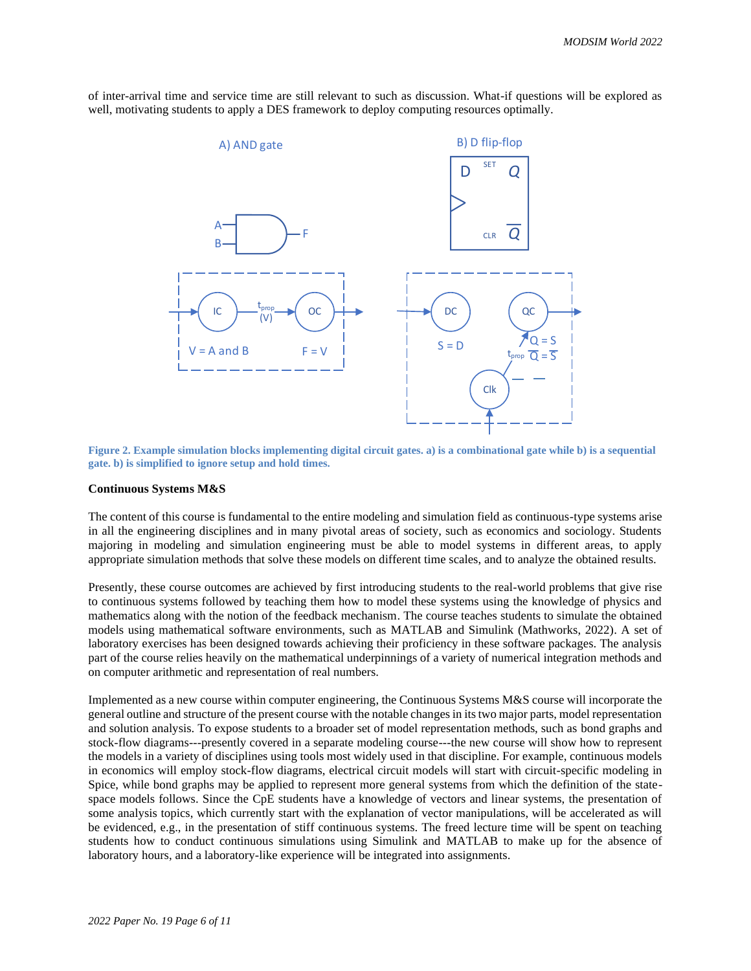

of inter-arrival time and service time are still relevant to such as discussion. What-if questions will be explored as well, motivating students to apply a DES framework to deploy computing resources optimally.

<span id="page-5-0"></span>**Figure 2. Example simulation blocks implementing digital circuit gates. a) is a combinational gate while b) is a sequential gate. b) is simplified to ignore setup and hold times.**

#### **Continuous Systems M&S**

The content of this course is fundamental to the entire modeling and simulation field as continuous-type systems arise in all the engineering disciplines and in many pivotal areas of society, such as economics and sociology. Students majoring in modeling and simulation engineering must be able to model systems in different areas, to apply appropriate simulation methods that solve these models on different time scales, and to analyze the obtained results.

Presently, these course outcomes are achieved by first introducing students to the real-world problems that give rise to continuous systems followed by teaching them how to model these systems using the knowledge of physics and mathematics along with the notion of the feedback mechanism. The course teaches students to simulate the obtained models using mathematical software environments, such as MATLAB and Simulink (Mathworks, 2022). A set of laboratory exercises has been designed towards achieving their proficiency in these software packages. The analysis part of the course relies heavily on the mathematical underpinnings of a variety of numerical integration methods and on computer arithmetic and representation of real numbers.

Implemented as a new course within computer engineering, the Continuous Systems M&S course will incorporate the general outline and structure of the present course with the notable changes in its two major parts, model representation and solution analysis. To expose students to a broader set of model representation methods, such as bond graphs and stock-flow diagrams---presently covered in a separate modeling course---the new course will show how to represent the models in a variety of disciplines using tools most widely used in that discipline. For example, continuous models in economics will employ stock-flow diagrams, electrical circuit models will start with circuit-specific modeling in Spice, while bond graphs may be applied to represent more general systems from which the definition of the statespace models follows. Since the CpE students have a knowledge of vectors and linear systems, the presentation of some analysis topics, which currently start with the explanation of vector manipulations, will be accelerated as will be evidenced, e.g., in the presentation of stiff continuous systems. The freed lecture time will be spent on teaching students how to conduct continuous simulations using Simulink and MATLAB to make up for the absence of laboratory hours, and a laboratory-like experience will be integrated into assignments.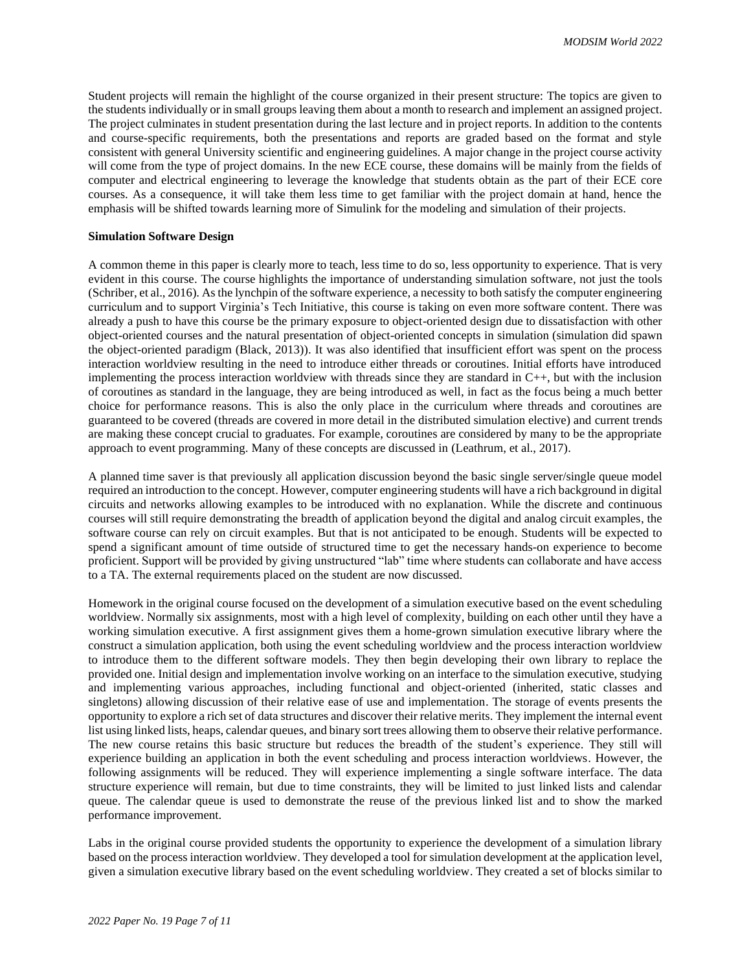Student projects will remain the highlight of the course organized in their present structure: The topics are given to the students individually or in small groups leaving them about a month to research and implement an assigned project. The project culminates in student presentation during the last lecture and in project reports. In addition to the contents and course-specific requirements, both the presentations and reports are graded based on the format and style consistent with general University scientific and engineering guidelines. A major change in the project course activity will come from the type of project domains. In the new ECE course, these domains will be mainly from the fields of computer and electrical engineering to leverage the knowledge that students obtain as the part of their ECE core courses. As a consequence, it will take them less time to get familiar with the project domain at hand, hence the emphasis will be shifted towards learning more of Simulink for the modeling and simulation of their projects.

## **Simulation Software Design**

A common theme in this paper is clearly more to teach, less time to do so, less opportunity to experience. That is very evident in this course. The course highlights the importance of understanding simulation software, not just the tools (Schriber, et al., 2016). As the lynchpin of the software experience, a necessity to both satisfy the computer engineering curriculum and to support Virginia's Tech Initiative, this course is taking on even more software content. There was already a push to have this course be the primary exposure to object-oriented design due to dissatisfaction with other object-oriented courses and the natural presentation of object-oriented concepts in simulation (simulation did spawn the object-oriented paradigm (Black, 2013)). It was also identified that insufficient effort was spent on the process interaction worldview resulting in the need to introduce either threads or coroutines. Initial efforts have introduced implementing the process interaction worldview with threads since they are standard in C++, but with the inclusion of coroutines as standard in the language, they are being introduced as well, in fact as the focus being a much better choice for performance reasons. This is also the only place in the curriculum where threads and coroutines are guaranteed to be covered (threads are covered in more detail in the distributed simulation elective) and current trends are making these concept crucial to graduates. For example, coroutines are considered by many to be the appropriate approach to event programming. Many of these concepts are discussed in (Leathrum, et al., 2017).

A planned time saver is that previously all application discussion beyond the basic single server/single queue model required an introduction to the concept. However, computer engineering students will have a rich background in digital circuits and networks allowing examples to be introduced with no explanation. While the discrete and continuous courses will still require demonstrating the breadth of application beyond the digital and analog circuit examples, the software course can rely on circuit examples. But that is not anticipated to be enough. Students will be expected to spend a significant amount of time outside of structured time to get the necessary hands-on experience to become proficient. Support will be provided by giving unstructured "lab" time where students can collaborate and have access to a TA. The external requirements placed on the student are now discussed.

Homework in the original course focused on the development of a simulation executive based on the event scheduling worldview. Normally six assignments, most with a high level of complexity, building on each other until they have a working simulation executive. A first assignment gives them a home-grown simulation executive library where the construct a simulation application, both using the event scheduling worldview and the process interaction worldview to introduce them to the different software models. They then begin developing their own library to replace the provided one. Initial design and implementation involve working on an interface to the simulation executive, studying and implementing various approaches, including functional and object-oriented (inherited, static classes and singletons) allowing discussion of their relative ease of use and implementation. The storage of events presents the opportunity to explore a rich set of data structures and discover their relative merits. They implement the internal event list using linked lists, heaps, calendar queues, and binary sort trees allowing them to observe their relative performance. The new course retains this basic structure but reduces the breadth of the student's experience. They still will experience building an application in both the event scheduling and process interaction worldviews. However, the following assignments will be reduced. They will experience implementing a single software interface. The data structure experience will remain, but due to time constraints, they will be limited to just linked lists and calendar queue. The calendar queue is used to demonstrate the reuse of the previous linked list and to show the marked performance improvement.

Labs in the original course provided students the opportunity to experience the development of a simulation library based on the process interaction worldview. They developed a tool for simulation development at the application level, given a simulation executive library based on the event scheduling worldview. They created a set of blocks similar to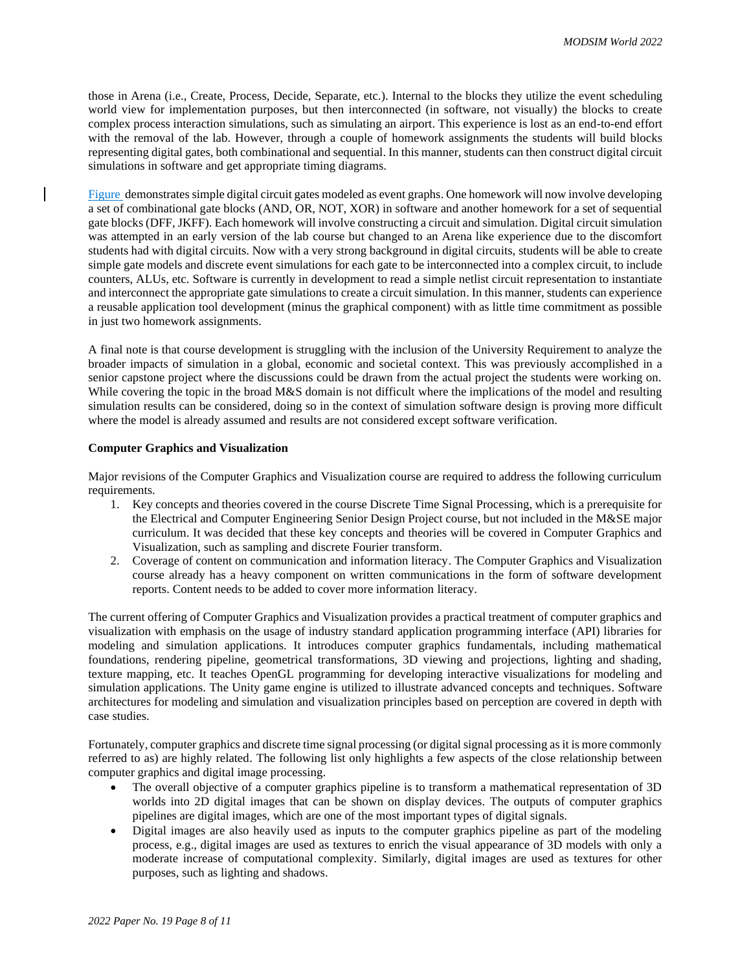those in Arena (i.e., Create, Process, Decide, Separate, etc.). Internal to the blocks they utilize the event scheduling world view for implementation purposes, but then interconnected (in software, not visually) the blocks to create complex process interaction simulations, such as simulating an airport. This experience is lost as an end-to-end effort with the removal of the lab. However, through a couple of homework assignments the students will build blocks representing digital gates, both combinational and sequential. In this manner, students can then construct digital circuit simulations in software and get appropriate timing diagrams.

[Figure](#page-5-0) demonstrates simple digital circuit gates modeled as event graphs. One homework will now involve developing a set of combinational gate blocks (AND, OR, NOT, XOR) in software and another homework for a set of sequential gate blocks (DFF, JKFF). Each homework will involve constructing a circuit and simulation. Digital circuit simulation was attempted in an early version of the lab course but changed to an Arena like experience due to the discomfort students had with digital circuits. Now with a very strong background in digital circuits, students will be able to create simple gate models and discrete event simulations for each gate to be interconnected into a complex circuit, to include counters, ALUs, etc. Software is currently in development to read a simple netlist circuit representation to instantiate and interconnect the appropriate gate simulations to create a circuit simulation. In this manner, students can experience a reusable application tool development (minus the graphical component) with as little time commitment as possible in just two homework assignments.

A final note is that course development is struggling with the inclusion of the University Requirement to analyze the broader impacts of simulation in a global, economic and societal context. This was previously accomplished in a senior capstone project where the discussions could be drawn from the actual project the students were working on. While covering the topic in the broad M&S domain is not difficult where the implications of the model and resulting simulation results can be considered, doing so in the context of simulation software design is proving more difficult where the model is already assumed and results are not considered except software verification.

## **Computer Graphics and Visualization**

Major revisions of the Computer Graphics and Visualization course are required to address the following curriculum requirements.

- 1. Key concepts and theories covered in the course Discrete Time Signal Processing, which is a prerequisite for the Electrical and Computer Engineering Senior Design Project course, but not included in the M&SE major curriculum. It was decided that these key concepts and theories will be covered in Computer Graphics and Visualization, such as sampling and discrete Fourier transform.
- 2. Coverage of content on communication and information literacy. The Computer Graphics and Visualization course already has a heavy component on written communications in the form of software development reports. Content needs to be added to cover more information literacy.

The current offering of Computer Graphics and Visualization provides a practical treatment of computer graphics and visualization with emphasis on the usage of industry standard application programming interface (API) libraries for modeling and simulation applications. It introduces computer graphics fundamentals, including mathematical foundations, rendering pipeline, geometrical transformations, 3D viewing and projections, lighting and shading, texture mapping, etc. It teaches OpenGL programming for developing interactive visualizations for modeling and simulation applications. The Unity game engine is utilized to illustrate advanced concepts and techniques. Software architectures for modeling and simulation and visualization principles based on perception are covered in depth with case studies.

Fortunately, computer graphics and discrete time signal processing (or digital signal processing as it is more commonly referred to as) are highly related. The following list only highlights a few aspects of the close relationship between computer graphics and digital image processing.

- The overall objective of a computer graphics pipeline is to transform a mathematical representation of 3D worlds into 2D digital images that can be shown on display devices. The outputs of computer graphics pipelines are digital images, which are one of the most important types of digital signals.
- Digital images are also heavily used as inputs to the computer graphics pipeline as part of the modeling process, e.g., digital images are used as textures to enrich the visual appearance of 3D models with only a moderate increase of computational complexity. Similarly, digital images are used as textures for other purposes, such as lighting and shadows.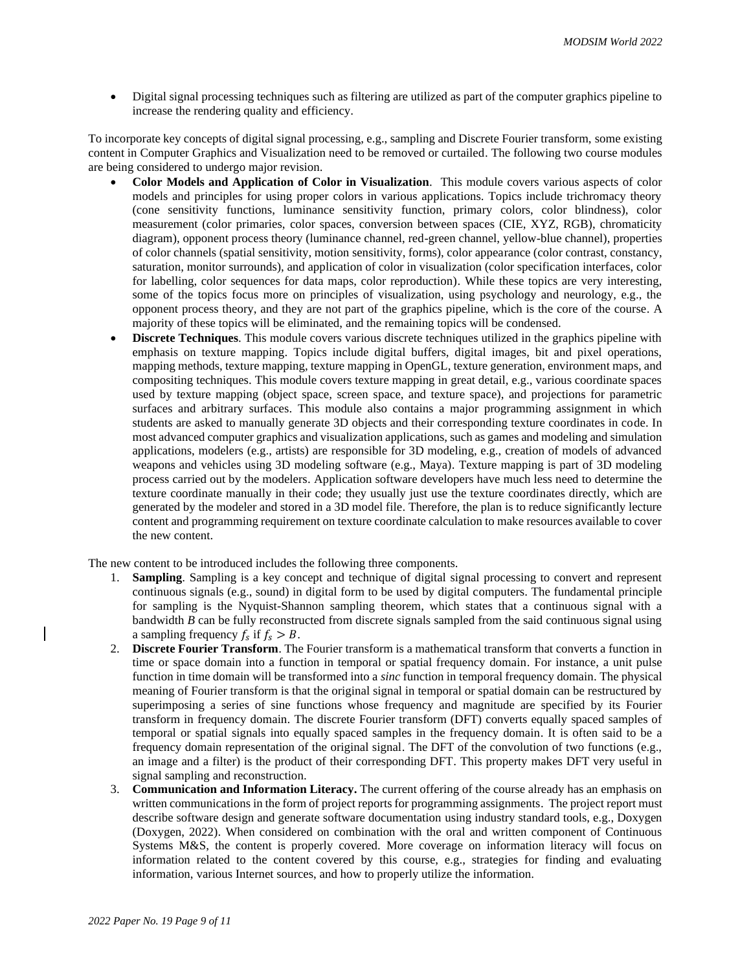• Digital signal processing techniques such as filtering are utilized as part of the computer graphics pipeline to increase the rendering quality and efficiency.

To incorporate key concepts of digital signal processing, e.g., sampling and Discrete Fourier transform, some existing content in Computer Graphics and Visualization need to be removed or curtailed. The following two course modules are being considered to undergo major revision.

- **Color Models and Application of Color in Visualization**. This module covers various aspects of color models and principles for using proper colors in various applications. Topics include trichromacy theory (cone sensitivity functions, luminance sensitivity function, primary colors, color blindness), color measurement (color primaries, color spaces, conversion between spaces (CIE, XYZ, RGB), chromaticity diagram), opponent process theory (luminance channel, red-green channel, yellow-blue channel), properties of color channels (spatial sensitivity, motion sensitivity, forms), color appearance (color contrast, constancy, saturation, monitor surrounds), and application of color in visualization (color specification interfaces, color for labelling, color sequences for data maps, color reproduction). While these topics are very interesting, some of the topics focus more on principles of visualization, using psychology and neurology, e.g., the opponent process theory, and they are not part of the graphics pipeline, which is the core of the course. A majority of these topics will be eliminated, and the remaining topics will be condensed.
- **Discrete Techniques**. This module covers various discrete techniques utilized in the graphics pipeline with emphasis on texture mapping. Topics include digital buffers, digital images, bit and pixel operations, mapping methods, texture mapping, texture mapping in OpenGL, texture generation, environment maps, and compositing techniques. This module covers texture mapping in great detail, e.g., various coordinate spaces used by texture mapping (object space, screen space, and texture space), and projections for parametric surfaces and arbitrary surfaces. This module also contains a major programming assignment in which students are asked to manually generate 3D objects and their corresponding texture coordinates in code. In most advanced computer graphics and visualization applications, such as games and modeling and simulation applications, modelers (e.g., artists) are responsible for 3D modeling, e.g., creation of models of advanced weapons and vehicles using 3D modeling software (e.g., Maya). Texture mapping is part of 3D modeling process carried out by the modelers. Application software developers have much less need to determine the texture coordinate manually in their code; they usually just use the texture coordinates directly, which are generated by the modeler and stored in a 3D model file. Therefore, the plan is to reduce significantly lecture content and programming requirement on texture coordinate calculation to make resources available to cover the new content.

The new content to be introduced includes the following three components.

- 1. **Sampling**. Sampling is a key concept and technique of digital signal processing to convert and represent continuous signals (e.g., sound) in digital form to be used by digital computers. The fundamental principle for sampling is the Nyquist-Shannon sampling theorem, which states that a continuous signal with a bandwidth *B* can be fully reconstructed from discrete signals sampled from the said continuous signal using a sampling frequency  $f_s$  if  $f_s > B$ .
- 2. **Discrete Fourier Transform**. The Fourier transform is a mathematical transform that converts a function in time or space domain into a function in temporal or spatial frequency domain. For instance, a unit pulse function in time domain will be transformed into a *sinc* function in temporal frequency domain. The physical meaning of Fourier transform is that the original signal in temporal or spatial domain can be restructured by superimposing a series of sine functions whose frequency and magnitude are specified by its Fourier transform in frequency domain. The discrete Fourier transform (DFT) converts equally spaced samples of temporal or spatial signals into equally spaced samples in the frequency domain. It is often said to be a frequency domain representation of the original signal. The DFT of the convolution of two functions (e.g., an image and a filter) is the product of their corresponding DFT. This property makes DFT very useful in signal sampling and reconstruction.
- 3. **Communication and Information Literacy.** The current offering of the course already has an emphasis on written communications in the form of project reports for programming assignments. The project report must describe software design and generate software documentation using industry standard tools, e.g., Doxygen (Doxygen, 2022). When considered on combination with the oral and written component of Continuous Systems M&S, the content is properly covered. More coverage on information literacy will focus on information related to the content covered by this course, e.g., strategies for finding and evaluating information, various Internet sources, and how to properly utilize the information.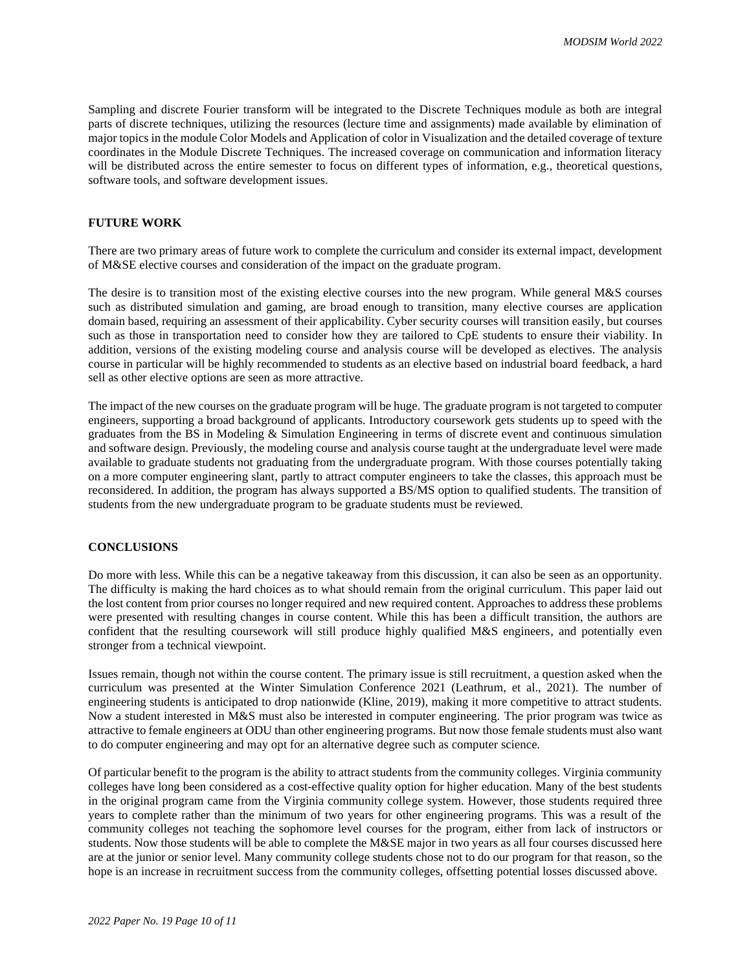Sampling and discrete Fourier transform will be integrated to the Discrete Techniques module as both are integral parts of discrete techniques, utilizing the resources (lecture time and assignments) made available by elimination of major topics in the module Color Models and Application of color in Visualization and the detailed coverage of texture coordinates in the Module Discrete Techniques. The increased coverage on communication and information literacy will be distributed across the entire semester to focus on different types of information, e.g., theoretical questions, software tools, and software development issues.

# **FUTURE WORK**

There are two primary areas of future work to complete the curriculum and consider its external impact, development of M&SE elective courses and consideration of the impact on the graduate program.

The desire is to transition most of the existing elective courses into the new program. While general M&S courses such as distributed simulation and gaming, are broad enough to transition, many elective courses are application domain based, requiring an assessment of their applicability. Cyber security courses will transition easily, but courses such as those in transportation need to consider how they are tailored to CpE students to ensure their viability. In addition, versions of the existing modeling course and analysis course will be developed as electives. The analysis course in particular will be highly recommended to students as an elective based on industrial board feedback, a hard sell as other elective options are seen as more attractive.

The impact of the new courses on the graduate program will be huge. The graduate program is not targeted to computer engineers, supporting a broad background of applicants. Introductory coursework gets students up to speed with the graduates from the BS in Modeling & Simulation Engineering in terms of discrete event and continuous simulation and software design. Previously, the modeling course and analysis course taught at the undergraduate level were made available to graduate students not graduating from the undergraduate program. With those courses potentially taking on a more computer engineering slant, partly to attract computer engineers to take the classes, this approach must be reconsidered. In addition, the program has always supported a BS/MS option to qualified students. The transition of students from the new undergraduate program to be graduate students must be reviewed.

#### **CONCLUSIONS**

Do more with less. While this can be a negative takeaway from this discussion, it can also be seen as an opportunity. The difficulty is making the hard choices as to what should remain from the original curriculum. This paper laid out the lost content from prior courses no longer required and new required content. Approaches to address these problems were presented with resulting changes in course content. While this has been a difficult transition, the authors are confident that the resulting coursework will still produce highly qualified M&S engineers, and potentially even stronger from a technical viewpoint.

Issues remain, though not within the course content. The primary issue is still recruitment, a question asked when the curriculum was presented at the Winter Simulation Conference 2021 (Leathrum, et al., 2021). The number of engineering students is anticipated to drop nationwide (Kline, 2019), making it more competitive to attract students. Now a student interested in M&S must also be interested in computer engineering. The prior program was twice as attractive to female engineers at ODU than other engineering programs. But now those female students must also want to do computer engineering and may opt for an alternative degree such as computer science.

Of particular benefit to the program is the ability to attract students from the community colleges. Virginia community colleges have long been considered as a cost-effective quality option for higher education. Many of the best students in the original program came from the Virginia community college system. However, those students required three years to complete rather than the minimum of two years for other engineering programs. This was a result of the community colleges not teaching the sophomore level courses for the program, either from lack of instructors or students. Now those students will be able to complete the M&SE major in two years as all four courses discussed here are at the junior or senior level. Many community college students chose not to do our program for that reason, so the hope is an increase in recruitment success from the community colleges, offsetting potential losses discussed above.